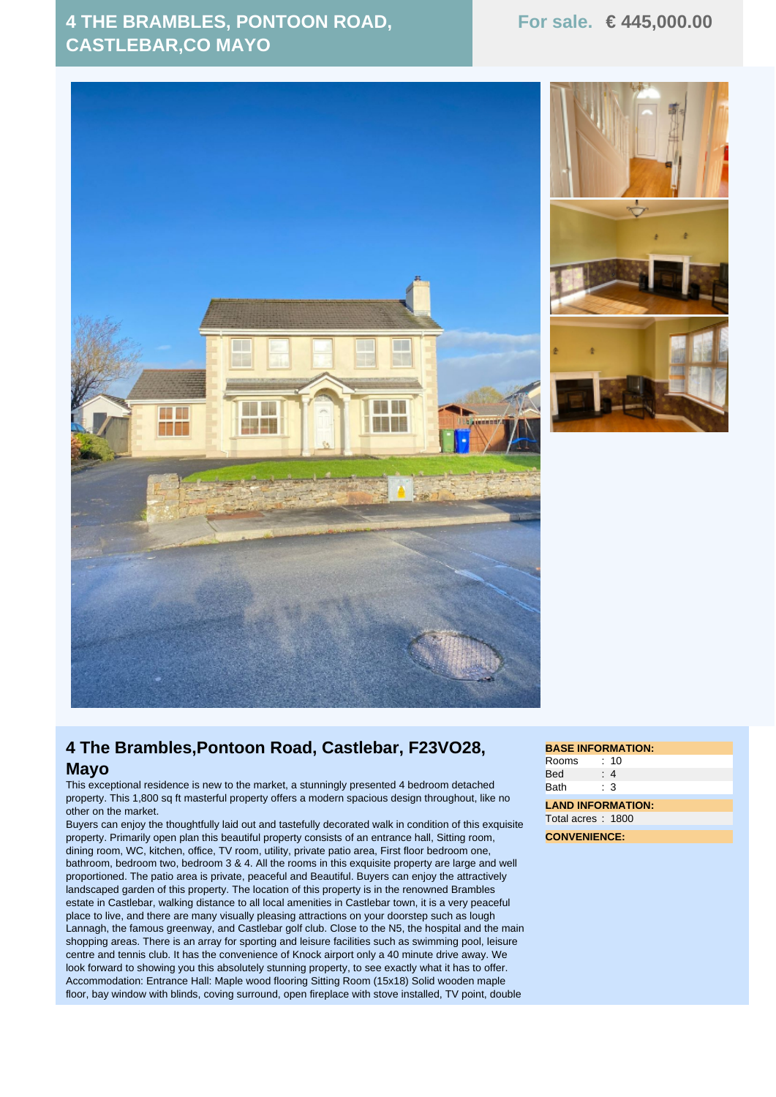## **4 THE BRAMBLES, PONTOON ROAD, CASTLEBAR,CO MAYO**



## **4 The Brambles,Pontoon Road, Castlebar, F23VO28, Mayo**

This exceptional residence is new to the market, a stunningly presented 4 bedroom detached property. This 1,800 sq ft masterful property offers a modern spacious design throughout, like no other on the market.

Buyers can enjoy the thoughtfully laid out and tastefully decorated walk in condition of this exquisite property. Primarily open plan this beautiful property consists of an entrance hall, Sitting room, dining room, WC, kitchen, office, TV room, utility, private patio area, First floor bedroom one, bathroom, bedroom two, bedroom 3 & 4. All the rooms in this exquisite property are large and well proportioned. The patio area is private, peaceful and Beautiful. Buyers can enjoy the attractively landscaped garden of this property. The location of this property is in the renowned Brambles estate in Castlebar, walking distance to all local amenities in Castlebar town, it is a very peaceful place to live, and there are many visually pleasing attractions on your doorstep such as lough Lannagh, the famous greenway, and Castlebar golf club. Close to the N5, the hospital and the main shopping areas. There is an array for sporting and leisure facilities such as swimming pool, leisure centre and tennis club. It has the convenience of Knock airport only a 40 minute drive away. We look forward to showing you this absolutely stunning property, to see exactly what it has to offer. Accommodation: Entrance Hall: Maple wood flooring Sitting Room (15x18) Solid wooden maple floor, bay window with blinds, coving surround, open fireplace with stove installed, TV point, double

## **BASE INFORMATION:** Rooms : 10 Bed : 4 Bath : 3

**LAND INFORMATION:** Total acres : 1800

**CONVENIENCE:**